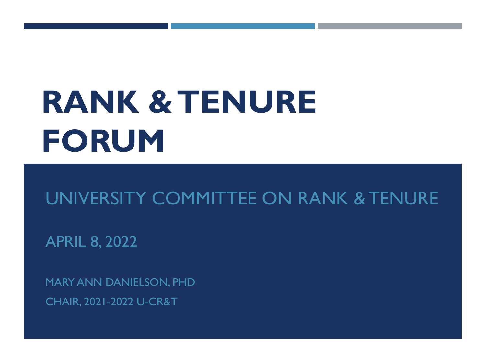# **RANK & TENURE FORUM**

#### UNIVERSITY COMMITTEE ON RANK & TENURE

APRIL 8, 2022

MARY ANN DANIELSON, PHD CHAIR, 2021-2022 U-CR&T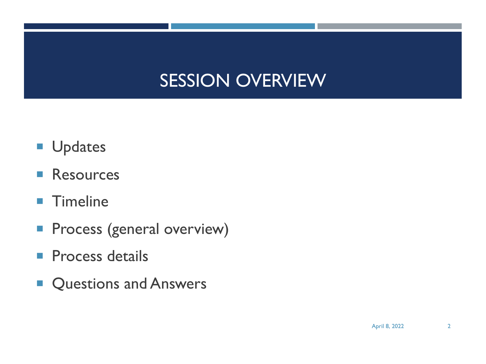#### SESSION OVERVIEW

- **U**pdates
- Resources
- **Timeline**
- **Process (general overview)**
- **Process details**
- Questions and Answers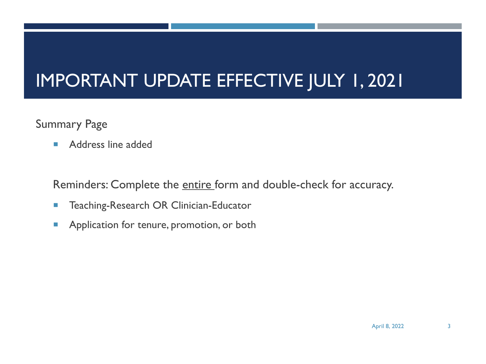#### IMPORTANT UPDATE EFFECTIVE JULY 1, 2021

#### Summary Page

**• Address line added** 

Reminders: Complete the entire form and double-check for accuracy.

- **EXECUTE: The Teaching-Research OR Clinician-Educator**
- **Application for tenure, promotion, or both**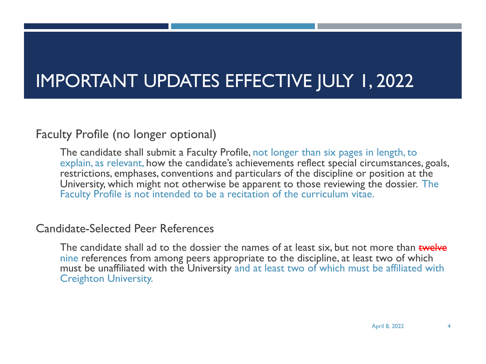#### IMPORTANT UPDATES EFFECTIVE JULY 1, 2022

#### Faculty Profile (no longer optional)

The candidate shall submit a Faculty Profile, not longer than six pages in length, to explain, as relevant, how the candidate's achievements reflect special circumstances, goals, restrictions, emphases, conventions and particulars of the discipline or position at the University, which might not otherwise be apparent to those reviewing the dossier. The Faculty Profile is not intended to be a recitation of the curriculum vitae.

#### Candidate-Selected Peer References

The candidate shall ad to the dossier the names of at least six, but not more than twelve nine references from among peers appropriate to the discipline, at least two of which must be unaffiliated with the University and at least two of which must be affiliated with Creighton University.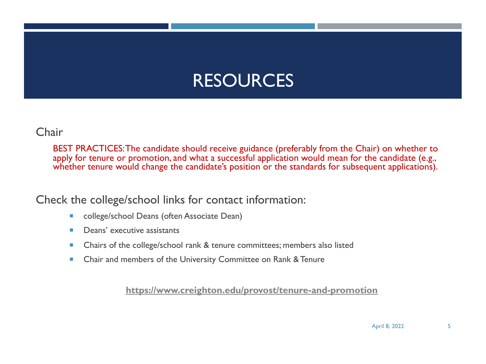#### RESOURCES

#### Chair

BEST PRACTICES: The candidate should receive guidance (preferably from the Chair) on whet apply for tenure or promotion, and what a successful application would mean for the candidate whether tenure would change the candidate's position or the standards for subsequent applica

Check the college/school links for contact information:

- college/school Deans (often Associate Dean)
- Deans' executive assistants
- Chairs of the college/school rank & tenure committees; members also listed
- Chair and members of the University Committee on Rank & Tenure

**https://www.creighton.edu/provost/tenure-and-promotion**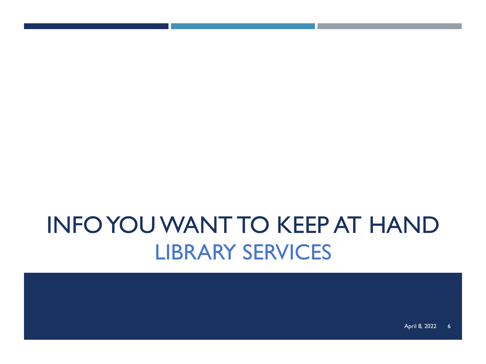## INFO YOU WANT TO KEEP AT HAND LIBRARY SERVICES

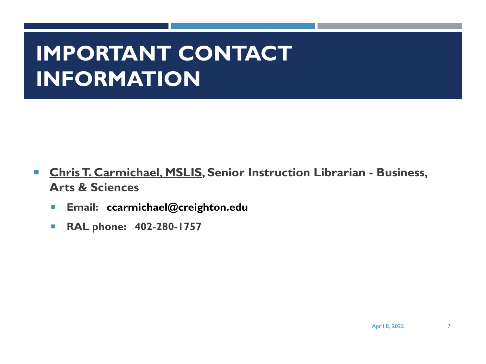### **IMPORTANT CONTACT INFORMATION**

- ¡ **Chris T. Carmichael, MSLIS, Senior Instruction Librarian - Business, Arts & Sciences**
	- ¡ **Email: ccarmichael@creighton.edu**
	- ¡ **RAL phone: 402-280-1757**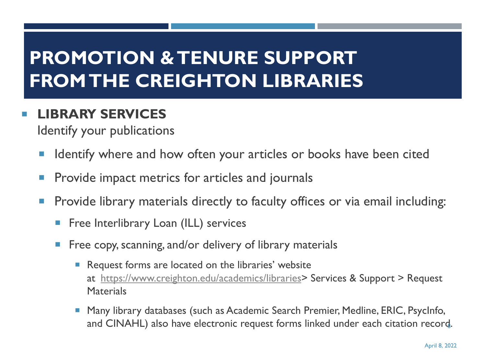#### **PROMOTION & TENURE SUPPORT FROM THE CREIGHTON LIBRARIES**

#### ¡ **LIBRARY [SERVICES](https://www.creighton.edu/academics/libraries)**

Identify your publications

- Identify where and how often your articles or books have been cit
- **Provide impact metrics for articles and journals**
- **Provide library materials directly to faculty offices or via email incluming** 
	- **Filter Enterlibrary Loan (ILL) services**
	- **EXT** Free copy, scanning, and/or delivery of library materials
		- Request forms are located on the libraries' website at https://www.creighton.edu/academics/libraries> Services & Support > R **Materials**
		- Many library databases (such as Academic Search Premier, Medline, ERIC, P and CINAHL) also have electronic request forms linked under each citatio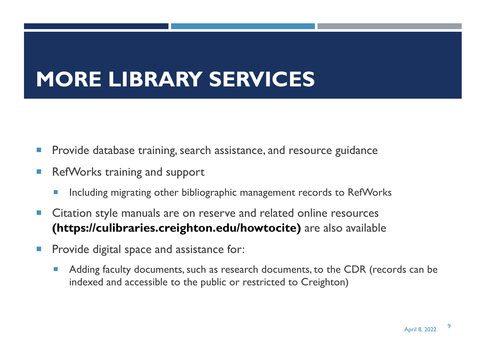### **MORE LIBRARY SERVICES**

- **Provide database training, search assistance, and resource guidance**
- RefWorks training and support
	- **Including migrating other bibliographic management records to RefWorks**
- Citation style manuals are on reserve and related online resources **(https://culibraries.creighton.edu/howtocite)** are also available
- **Provide digital space and assistance for:** 
	- Adding faculty documents, such as research documents, to the CDR (records can be indexed and accessible to the public or restricted to Creighton)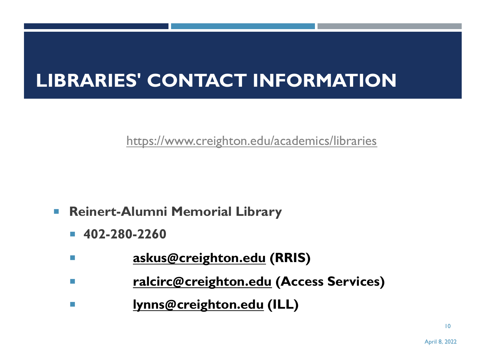#### **LIBRARIE[S](mailto:askus@creighton.edu)' [CONTACT IN](mailto:askus@creighton.edu)FORMATION**

[https://www.creighton.edu](mailto:lynns@creighton.edu)/academics/libraries

- ¡ **Reinert-Alumni Memorial Library**
	- ¡ **402-280-2260**
	- ¡ **askus@creighton.edu (RRIS)**
	- ¡ **ralcirc@creighton.edu (Access Services)**
	- ¡ **lynns@creighton.edu (ILL)**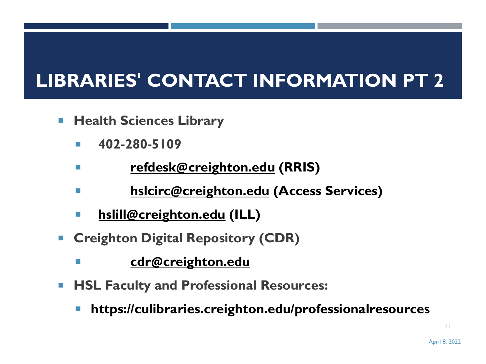#### **LIBRARIES' [CONTACT](mailto:cdr@creighton.edu) INFORMATION P**

- ¡ **Health Sciences Library**
	- ¡ **402-280-5109**
	- ¡ **refdesk@creighton.edu (RRIS)**
	- ¡ **hslcirc@creighton.edu (Access Services)**
	- ¡ **hslill@creighton.edu (ILL)**
- ¡ **Creighton Digital Repository (CDR)**
	- ¡ **cdr@creighton.edu**
- ¡ **HSL Faculty and Professional Resources:** 
	- ¡ **https://culibraries.creighton.edu/professionalresources**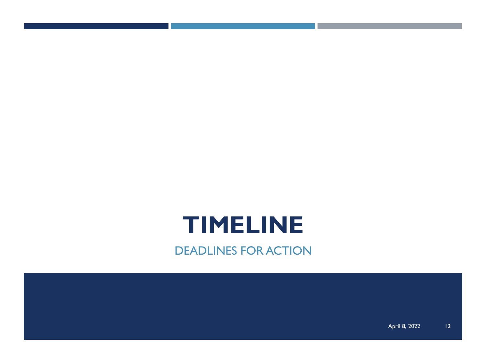### **TIMELINE**

DEADLINES FOR ACTION

April 8, 2022 12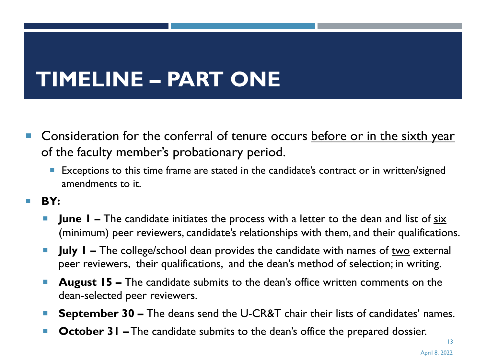## **TIMELINE – PART ONE**

- Consideration for the conferral of tenure occurs before or in the sixth year of the faculty member's probationary period.
	- Exceptions to this time frame are stated in the candidate's contract or in written/signed amendments to it.
- ¡ **BY:**
	- **June I** The candidate initiates the process with a letter to the dean and list of six (minimum) peer reviewers, candidate's relationships with them, and their qualifications.
	- **July 1 –** The college/school dean provides the candidate with names of two external peer reviewers, their qualifications, and the dean's method of selection; in writing.
	- **August 15 –** The candidate submits to the dean's office written comments on the dean-selected peer reviewers.
	- **September 30 –** The deans send the U-CR&T chair their lists of candidates' names.
	- **October 31 –** The candidate submits to the dean's office the prepared dossier.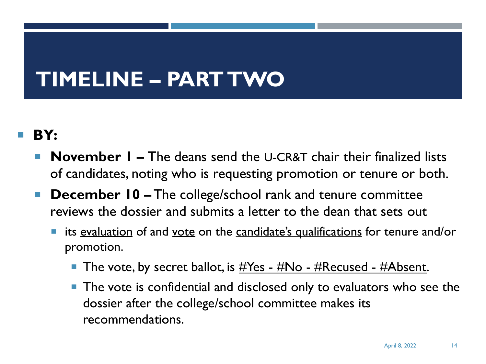### **TIMELINE – PART TWO**

#### ¡ **BY:**

- **November I** The deans send the U-CR&T chair their finalized lists of candidates, noting who is requesting promotion or tenure or both.
- **December 10 –** The college/school rank and tenure committee reviews the dossier and submits a letter to the dean that sets out
	- its evaluation of and vote on the candidate's qualifications for tenure and/or promotion.
		- The vote, by secret ballot, is  $\#Yes$   $\#No$   $\#Recused$   $\#Absent$ .
		- **The vote is confidential and disclosed only to evaluators who see the** dossier after the college/school committee makes its recommendations.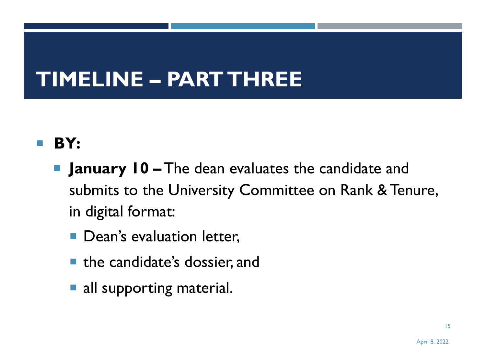### **TIMELINE – PART THREE**

#### ¡ **BY:**

- **E** January 10 The dean evaluates the candidate and submits to the University Committee on Rank & Tenure, in digital format:
	- **Dean's evaluation letter,**
	- the candidate's dossier, and
	- **all supporting material.**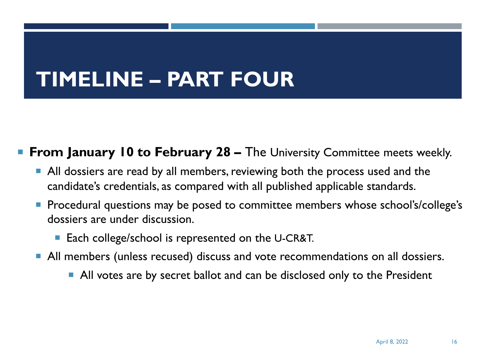### **TIMELINE – PART FOUR**

#### **From January 10 to February 28 – The University Committee meets weekly.**

- ¡ All dossiers are read by all members, reviewing both the process used and the candidate's credentials, as compared with all published applicable standards.
- Procedural questions may be posed to committee members whose school's/college's dossiers are under discussion.
	- Each college/school is represented on the U-CR&T.
- ¡ All members (unless recused) discuss and vote recommendations on all dossiers.
	- **All votes are by secret ballot and can be disclosed only to the President**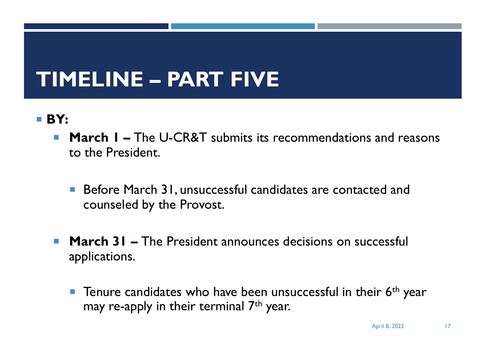### **TIMELINE – PART FIVE**

#### ¡ **BY:**

- **March I –** The U-CR&T submits its recommendations and reasons to the President.
	- Before March 31, unsuccessful candidates are contacted and counseled by the Provost.
- **March 31 –** The President announces decisions on successful applications.
	- **T** Tenure candidates who have been unsuccessful in their  $6<sup>th</sup>$  year may re-apply in their terminal  $7<sup>th</sup>$  year.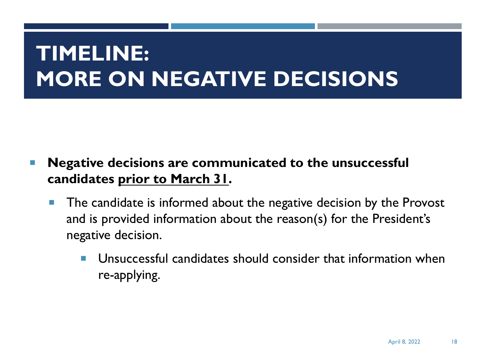### **TIMELINE: MORE ON NEGATIVE DECISIONS**

#### ¡ **Negative decisions are communicated to the unsuccessful candidates prior to March 31.**

- **The candidate is informed about the negative decision by the Provost** and is provided information about the reason(s) for the President's negative decision.
	- Unsuccessful candidates should consider that information when re-applying.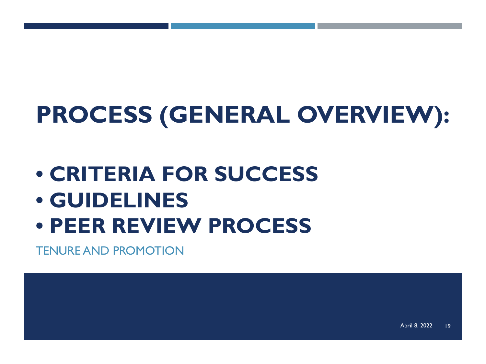## **PROCESS (GENERAL OVERVIEW):**

- **CRITERIA FOR SUCCESS**
- **GUIDELINES**
- **PEER REVIEW PROCESS**

TENURE AND PROMOTION

April 8, 2022 19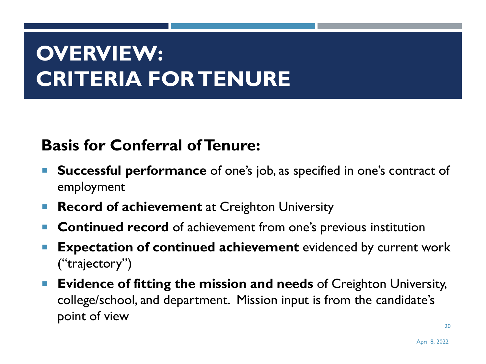### **OVERVIEW: CRITERIA FOR TENURE**

#### **Basis for Conferral of Tenure:**

- ¡ **Successful performance** of one's job, as specified in one's contract of employment
- **Record of achievement** at Creighton University
- **Continued record** of achievement from one's previous institution
- ¡ **Expectation of continued achievement** evidenced by current work ("trajectory")
- ¡ **Evidence of fitting the mission and needs** of Creighton University, college/school, and department. Mission input is from the candidate's point of view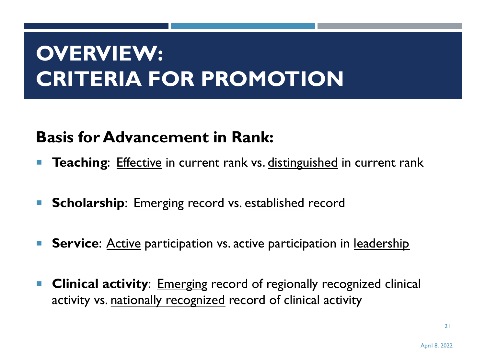### **OVERVIEW: CRITERIA FOR PROMOTION**

#### **Basis for Advancement in Rank:**

- **Teaching:** Effective in current rank vs. distinguished in current rank
- **Scholarship**: Emerging record vs. established record
- **Service:** Active participation vs. active participation in <u>leadership</u>
- ¡ **Clinical activity**: Emerging record of regionally recognized clinical activity vs. nationally recognized record of clinical activity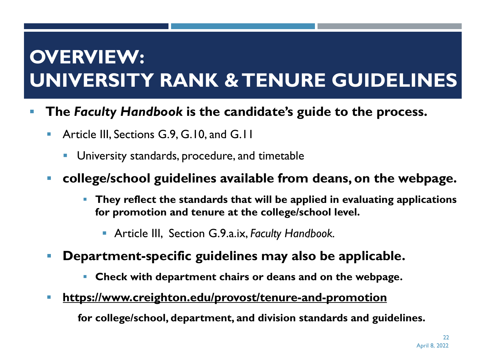#### **OVERVIEW: UNIVERSITY RANK & TENURE GUIDELINES**

- § **The** *Faculty Handbook* **is the candidate's guide to the process.**
	- **E** Article III, Sections G.9, G.10, and G.11
		- University standards, procedure, and timetable

#### § **college/school guidelines available from deans, on the webpage.**

- § **They reflect the standards that will be applied in evaluating applications for promotion and tenure at the college/school level.**
	- § Article III, Section G.9.a.ix, *Faculty Handbook.*
- § **Department-specific guidelines may also be applicable.**
	- § **Check with department chairs or deans and on the webpage.**
- § **https://www.creighton.edu/provost/tenure-and-promotion**

**for college/school, department, and division standards and guidelines.**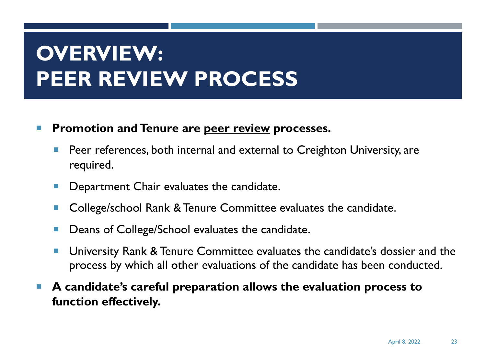### **OVERVIEW: PEER REVIEW PROCESS**

#### ¡ **Promotion and Tenure are peer review processes.**

- Peer references, both internal and external to Creighton University, are required.
- Department Chair evaluates the candidate.
- College/school Rank & Tenure Committee evaluates the candidate.
- Deans of College/School evaluates the candidate.
- University Rank & Tenure Committee evaluates the candidate's dossier and the process by which all other evaluations of the candidate has been conducted.
- A candidate's careful preparation allows the evaluation process to **function effectively.**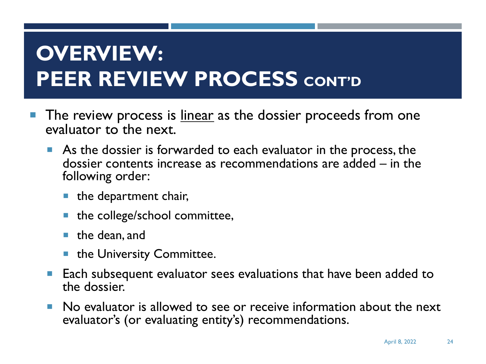## **OVERVIEW: PEER REVIEW PROCESS CONT'D**

- The review process is linear as the dossier proceeds from one evaluator to the next.
	- ¡ As the dossier is forwarded to each evaluator in the process, the dossier contents increase as recommendations are added – in the following order:
		- $\blacksquare$  the department chair,
		- the college/school committee,
		- $\blacksquare$  the dean, and
		- **the University Committee.**
	- Each subsequent evaluator sees evaluations that have been added to the dossier.
	- ¡ No evaluator is allowed to see or receive information about the next evaluator's (or evaluating entity's) recommendations.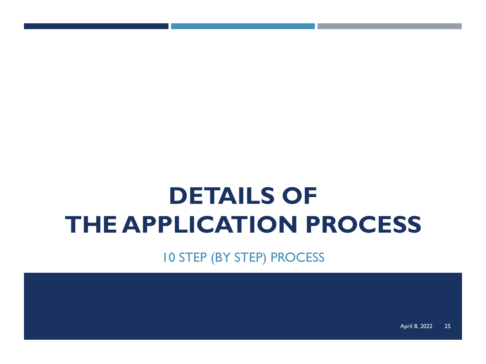## **DETAILS OF THE APPLICATION PROCESS**

10 STEP (BY STEP) PROCESS

April 8, 2022 25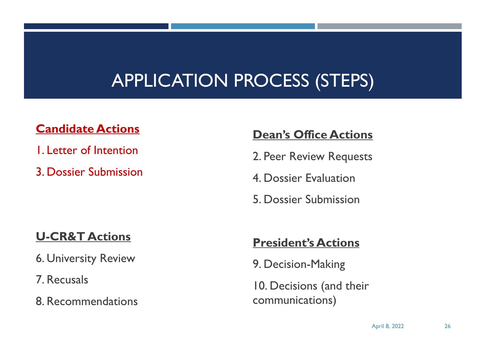#### APPLICATION PROCESS (STEPS)

#### **Candidate Actions**

- 1. Letter of Intention
- 3. Dossier Submission

#### **Dean's Office Actions**

- 2. Peer Review Requests
- 4. Dossier Evaluation
- 5. Dossier Submission

#### **U-CR&T Actions**

- 6. University Review
- 7. Recusals
- 8. Recommendations

#### **President's Actions**

9. Decision-Making

10. Decisions (and their communications)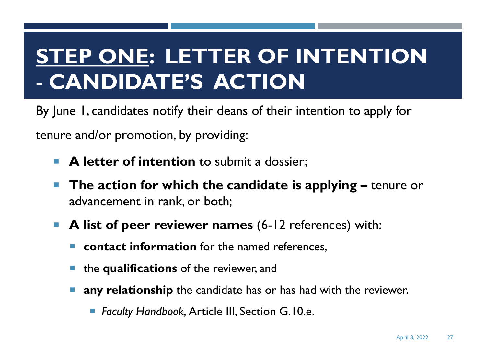### **STEP ONE: LETTER OF INTENTION** - **CANDIDATE'S ACTION**

By June 1, candidates notify their deans of their intention to apply for tenure and/or promotion, by providing:

- **A letter of intention** to submit a dossier;
- ¡ **The action for which the candidate is applying –** tenure or advancement in rank, or both;
- ¡ **A list of peer reviewer names** (6-12 references) with:
	- **contact information** for the named references.
	- ¡ the **qualifications** of the reviewer, and
	- **any relationship** the candidate has or has had with the reviewer.
		- *Faculty Handbook, Article III, Section G.10.e.*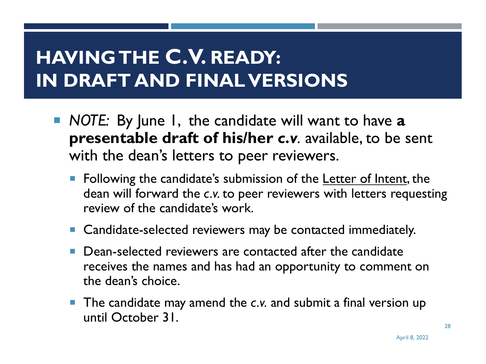#### **HAVING THE C.V. READY: IN DRAFT AND FINAL VERSIONS**

- ¡ *NOTE:* By June 1, the candidate will want to have **a presentable draft of his/her** *c.v.* available, to be sent with the dean's letters to peer reviewers.
	- Following the candidate's submission of the Letter of Intent, the dean will forward the *c.v.* to peer reviewers with letters requesting review of the candidate's work.
	- Candidate-selected reviewers may be contacted immediately.
	- Dean-selected reviewers are contacted after the candidate receives the names and has had an opportunity to comment on the dean's choice.
	- ¡ The candidate may amend the *c.v.* and submit a final version up until October 31.

28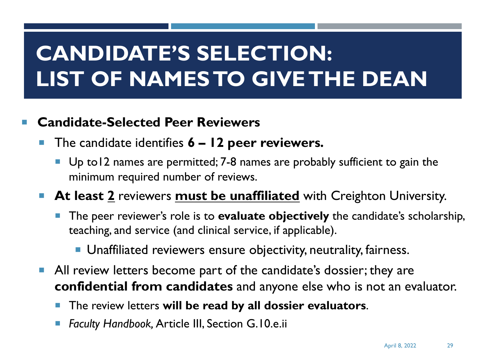### **CANDIDATE'S SELECTION: LIST OF NAMES TO GIVE THE DEAN**

#### **Candidate-Selected Peer Reviewers**

- ¡ The candidate identifies **6 – 12 peer reviewers.**
	- Up to12 names are permitted; 7-8 names are probably sufficient to gain the minimum required number of reviews.
- At least 2 reviewers must be unaffiliated with Creighton University.
	- The peer reviewer's role is to **evaluate objectively** the candidate's scholarship, teaching, and service (and clinical service, if applicable).
		- Unaffiliated reviewers ensure objectivity, neutrality, fairness.
- **All review letters become part of the candidate's dossier; they are confidential from candidates** and anyone else who is not an evaluator.
	- ¡ The review letters **will be read by all dossier evaluators**.
	- ¡ *Faculty Handbook,* Article III, Section G.10.e.ii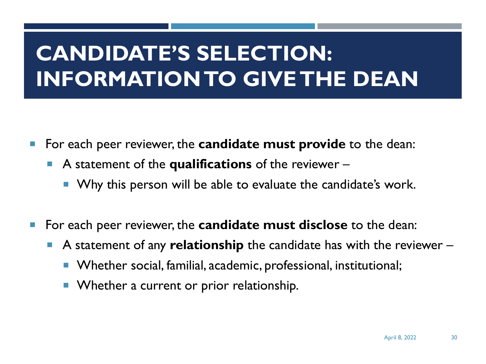### **CANDIDATE'S SELECTION: INFORMATION TO GIVE THE DEAN**

- ¡ For each peer reviewer, the **candidate must provide** to the dean:
	- ¡ A statement of the **qualifications** of the reviewer
		- **Why this person will be able to evaluate the candidate's work.**
- ¡ For each peer reviewer, the **candidate must disclose** to the dean:
	- A statement of any **relationship** the candidate has with the reviewer
		- Whether social, familial, academic, professional, institutional;
		- Whether a current or prior relationship.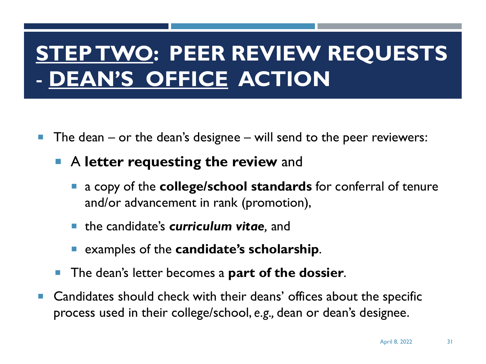### **STEP TWO: PEER REVIEW REQUESTS** - **DEAN'S OFFICE ACTION**

- The dean  $-$  or the dean's designee  $-$  will send to the peer reviewers:
	- ¡ A **letter requesting the review** and
		- ¡ a copy of the **college/school standards** for conferral of tenure and/or advancement in rank (promotion),
		- the candidate's **curriculum vitae**, and
		- ¡ examples of the **candidate's scholarship**.
	- ¡ The dean's letter becomes a **part of the dossier**.
- Candidates should check with their deans' offices about the specific process used in their college/school, *e.g.,* dean or dean's designee.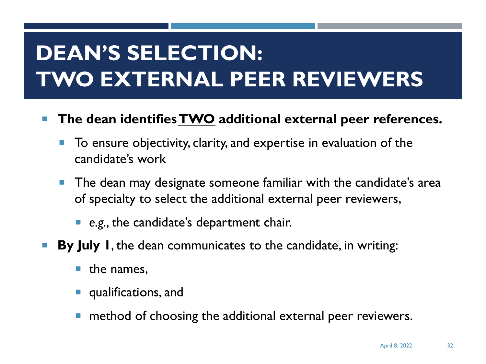## **DEAN'S SELECTION: TWO EXTERNAL PEER REVIEWERS**

- ¡ **The dean identifies TWO additional external peer references.**
	- To ensure objectivity, clarity, and expertise in evaluation of the candidate's work
	- The dean may designate someone familiar with the candidate's area of specialty to select the additional external peer reviewers,
		- ¡ *e.g.*, the candidate's department chair.
- **By July I**, the dean communicates to the candidate, in writing:
	- $\blacksquare$  the names,
	- qualifications, and
	- method of choosing the additional external peer reviewers.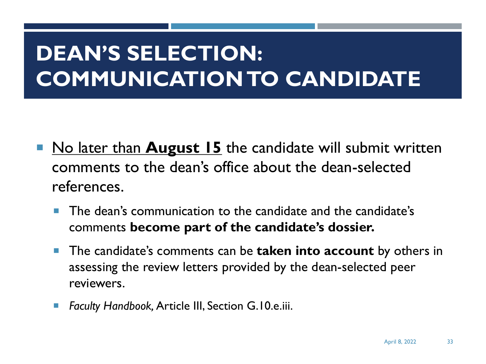### **DEAN'S SELECTION: COMMUNICATION TO CANDIDATE**

- **No later than August 15** the candidate will submit written comments to the dean's office about the dean-selected references.
	- The dean's communication to the candidate and the candidate's comments **become part of the candidate's dossier.**
	- ¡ The candidate's comments can be **taken into account** by others in assessing the review letters provided by the dean-selected peer reviewers.
	- *Faculty Handbook, Article III, Section G.10.e.iii.*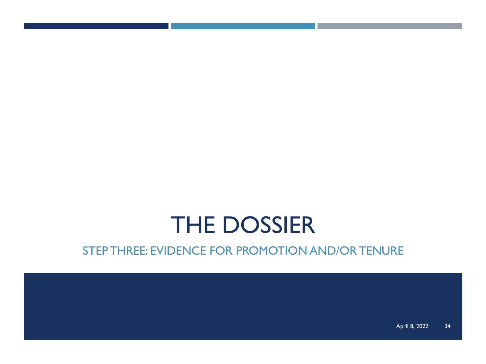### THE DOSSIER

#### STEP THREE: EVIDENCE FOR PROMOTION AND/OR TENURE

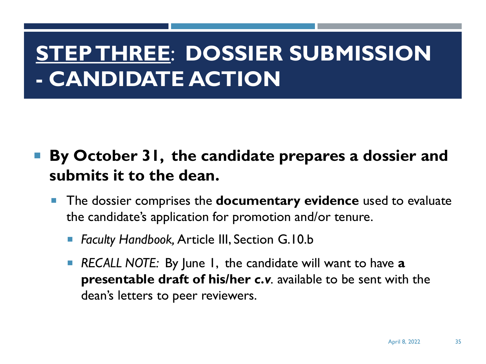### **STEP THREE**: **DOSSIER SUBMISSION - CANDIDATE ACTION**

- ¡ **By October 31, the candidate prepares a dossier and submits it to the dean.**
	- ¡ The dossier comprises the **documentary evidence** used to evaluate the candidate's application for promotion and/or tenure.
		- ¡ *Faculty Handbook,* Article III, Section G.10.b
		- ¡ *RECALL NOTE:* By June 1, the candidate will want to have **a presentable draft of his/her** *c.v.* available to be sent with the dean's letters to peer reviewers.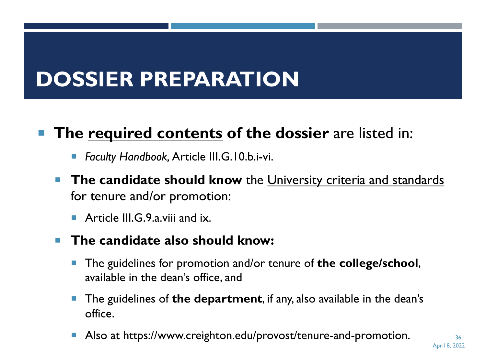### **DOSSIER PREPARATION**

#### The **required contents** of the dossier are listed in:

- *Faculty Handbook, Article III.G.10.b.i-vi.*
- **The candidate should know** the University criteria and standards for tenure and/or promotion:
	- $\blacksquare$  Article III. G. 9. a. viii and ix.
- ¡ **The candidate also should know:** 
	- ¡ The guidelines for promotion and/or tenure of **the college/school**, available in the dean's office, and
	- ¡ The guidelines of **the department**, if any, also available in the dean's office.
	- Also at https://www.creighton.edu/provost/tenure-and-promotion.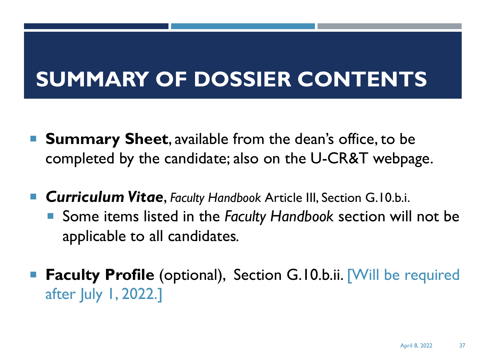### **SUMMARY OF DOSSIER CONTENTS**

- **Summary Sheet, available from the dean's office, to be** completed by the candidate; also on the U-CR&T webpage.
- **Curriculum Vitae**, *Faculty Handbook* Article III, Section G.10.b.i.
	- Some items listed in the *Faculty Handbook* section will not be applicable to all candidates*.*
- **Faculty Profile** (optional), Section G.10.b.ii. Will be required after July 1, 2022.]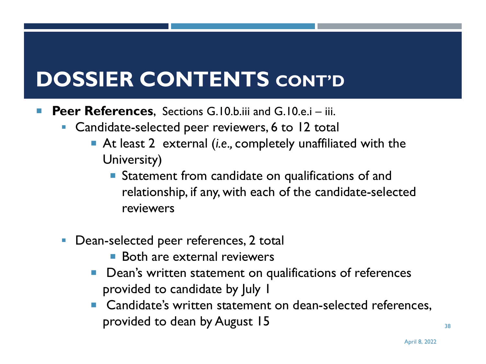### **DOSSIER CONTENTS CONT'D**

- **Peer References, Sections G.10.b.iii and G.10.e.i iii.** 
	- **Candidate-selected peer reviewers, 6 to 12 total** 
		- ¡ At least 2 external (*i.e.,* completely unaffiliated with the University)
			- **Statement from candidate on qualifications of and** relationship, if any, with each of the candidate-selected reviewers
	- **Dean-selected peer references, 2 total** 
		- Both are external reviewers
		- Dean's written statement on qualifications of references provided to candidate by July 1
		- Candidate's written statement on dean-selected references, provided to dean by August 15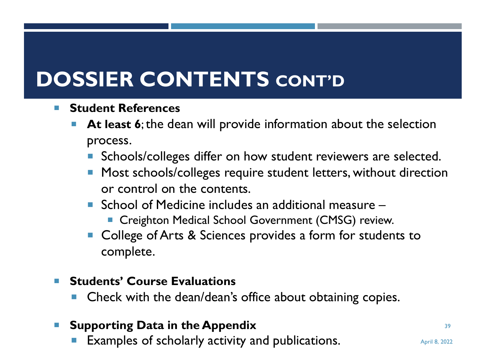### **DOSSIER CONTENTS CONT'D**

- ¡ **Student References**
	- **At least 6**; the dean will provide information about the selection process.
		- **Schools/colleges differ on how student reviewers are selected.**
		- **Most schools/colleges require student letters, without direction** or control on the contents.
		- $\blacksquare$  School of Medicine includes an additional measure  $\blacksquare$ 
			- Creighton Medical School Government (CMSG) review.
		- College of Arts & Sciences provides a form for students to complete.

#### ¡ **Students' Course Evaluations**

Check with the dean/dean's office about obtaining copies.

#### ¡ **Supporting Data in the Appendix**

**Examples of scholarly activity and publications.** April 8, 2022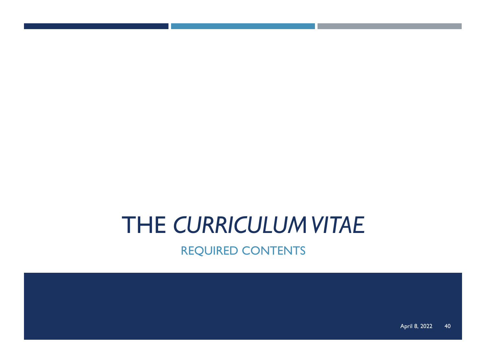## THE *CURRICULUM VITAE*

REQUIRED CONTENTS

April 8, 2022 40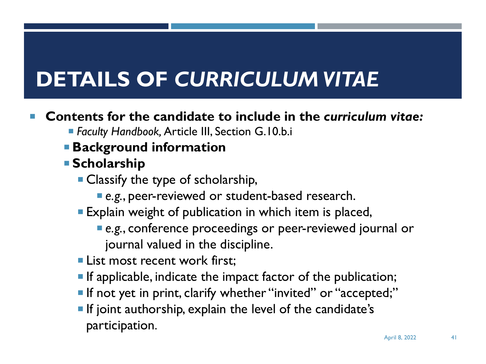## **DETAILS OF** *CURRICULUM VITAE*

#### ¡ **Contents for the candidate to include in the** *curriculum vitae:*

- ¡ *Faculty Handbook,* Article III, Section G.10.b.i
- ¡ **Background information**
- ¡ **Scholarship** 
	- **Classify the type of scholarship,** 
		- **•** e.g., peer-reviewed or student-based research.
	- **Explain weight of publication in which item is placed,** 
		- ¡ *e.g.*, conference proceedings or peer-reviewed journal or journal valued in the discipline.
	- **Example 1 List most recent work first:**
	- **If applicable, indicate the impact factor of the publication;**
	- **If not yet in print, clarify whether "invited" or "accepted;"**
	- **If joint authorship, explain the level of the candidate's** participation.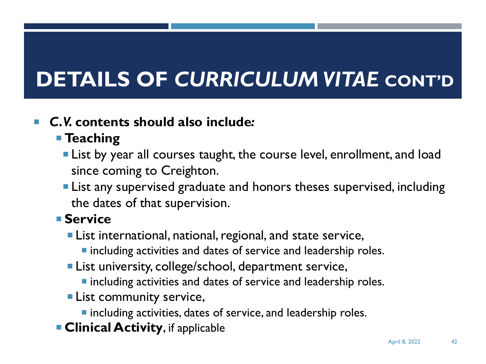## **DETAILS OF CURRICULUM VITAE CONT'D**

#### ¡ *C.V.* **contents should also include***:*

#### ¡ **Teaching**

- **Example 1** List by year all courses taught, the course level, enrollment, and load since coming to Creighton.
- **Exampate 1** List any supervised graduate and honors theses supervised, including the dates of that supervision.

#### ¡ **Service**

- **EXTE:** List international, national, regional, and state service,
	- ¡ including activities and dates of service and leadership roles.
- **Example 2** List university, college/school, department service,
	- $\blacksquare$  including activities and dates of service and leadership roles.
- **Exammunity service,** 
	- **Example 1** including activities, dates of service, and leadership roles.
- **Example 2 Clinical Activity, if applicable**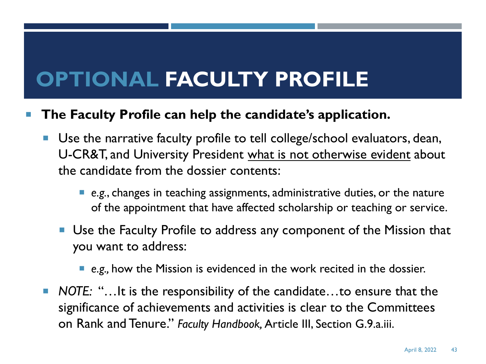### **OPTIONAL FACULTY PROFILE**

#### ¡ **The Faculty Profile can help the candidate's application.**

- Use the narrative faculty profile to tell college/school evaluators, dean, U-CR&T, and University President what is not otherwise evident about the candidate from the dossier contents:
	- ¡ *e.g.*, changes in teaching assignments, administrative duties, or the nature of the appointment that have affected scholarship or teaching or service.
	- Use the Faculty Profile to address any component of the Mission that you want to address:

#### ■ *e.g.*, how the Mission is evidenced in the work recited in the dossier.

■ *NOTE:* "...It is the responsibility of the candidate...to ensure that the significance of achievements and activities is clear to the Committees on Rank and Tenure." *Faculty Handbook,* Article III, Section G.9.a.iii.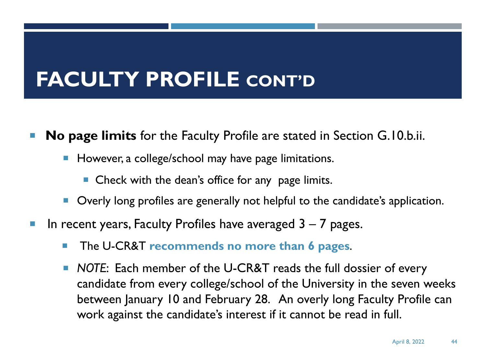#### **FACULTY PROFILE CONT'D**

- ¡ **No page limits** for the Faculty Profile are stated in Section G.10.b.ii.
	- However, a college/school may have page limitations.
		- $\blacksquare$  Check with the dean's office for any page limits.
	- Overly long profiles are generally not helpful to the candidate's application.
- In recent years, Faculty Profiles have averaged  $3 7$  pages.
	- ¡ The U-CR&T **recommends no more than 6 pages**.
	- ¡ *NOTE*: Each member of the U-CR&T reads the full dossier of every candidate from every college/school of the University in the seven weeks between January 10 and February 28. An overly long Faculty Profile can work against the candidate's interest if it cannot be read in full.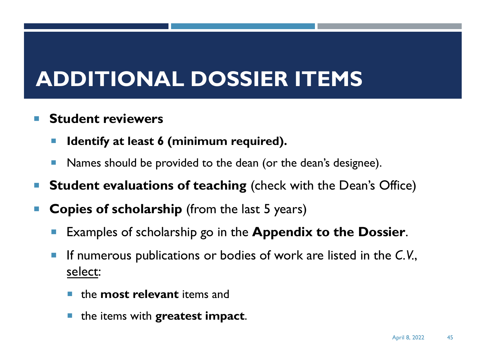### **ADDITIONAL DOSSIER ITEMS**

#### ¡ **Student reviewers**

- **Identify at least 6 (minimum required).**
- Names should be provided to the dean (or the dean's designee).
- ¡ **Student evaluations of teaching** (check with the Dean's Office)
- **Copies of scholarship** (from the last 5 years)
	- Examples of scholarship go in the **Appendix to the Dossier**.
	- ¡ If numerous publications or bodies of work are listed in the *C.V.*, select:
		- ¡ the **most relevant** items and
		- ¡ the items with **greatest impact**.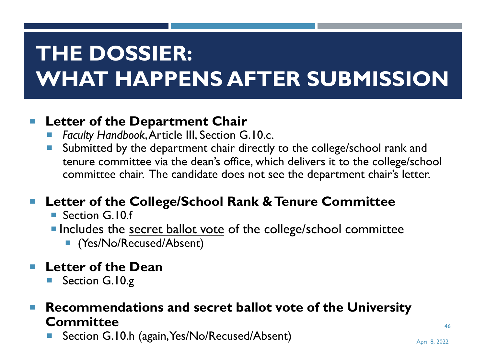## **THE DOSSIER: WHAT HAPPENS AFTER SUBMISSION**

#### ¡ **Letter of the Department Chair**

- Faculty Handbook, Article III, Section G.10.c.
- **E** Submitted by the department chair directly to the college/school rank and tenure committee via the dean's office, which delivers it to the college/school committee chair. The candidate does not see the department chair's letter.

#### ¡ **Letter of the College/School Rank & Tenure Committee**

- Section G.10.f
- **Includes the secret ballot vote of the college/school committee** 
	- (Yes/No/Recused/Absent)

#### ¡ **Letter of the Dean**

Section G.10.g

#### ¡ **Recommendations and secret ballot vote of the University Committee**

Section G.10.h (again, Yes/No/Recused/Absent) April 8, 2022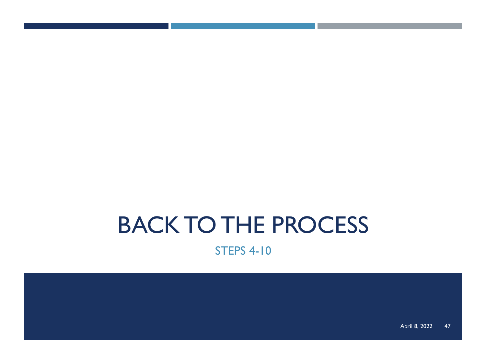### BACK TO THE PROCESS

STEPS 4-10

April 8, 2022 47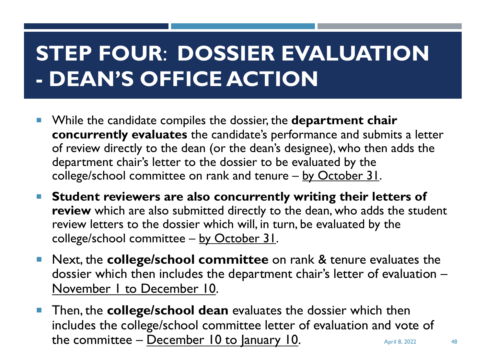### **STEP FOUR**: **DOSSIER EVALUATION - DEAN'S OFFICE ACTION**

- ¡ While the candidate compiles the dossier, the **department chair concurrently evaluates** the candidate's performance and submits a letter of review directly to the dean (or the dean's designee), who then adds the department chair's letter to the dossier to be evaluated by the college/school committee on rank and tenure - by October 31.
- ¡ **Student reviewers are also concurrently writing their letters of review** which are also submitted directly to the dean, who adds the student review letters to the dossier which will, in turn, be evaluated by the college/school committee - by October 31.
- ¡ Next, the **college/school committee** on rank & tenure evaluates the dossier which then includes the department chair's letter of evaluation – November 1 to December 10.
- Then, the **college/school dean** evaluates the dossier which then includes the college/school committee letter of evaluation and vote of the committee – December 10 to January 10.  $\frac{10}{2}$  April 8, 2022 48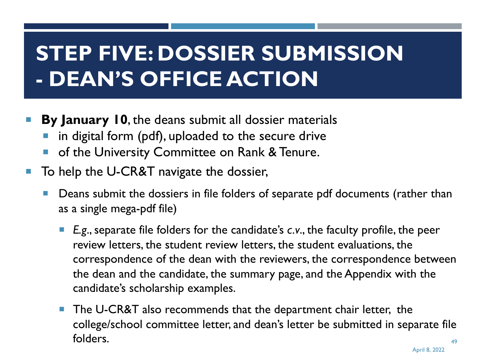### **STEP FIVE: DOSSIER SUBMISSION - DEAN'S OFFICE ACTION**

- **By January 10, the deans submit all dossier materials** 
	- in digital form (pdf), uploaded to the secure drive
	- of the University Committee on Rank & Tenure.
- To help the U-CR&T navigate the dossier,
	- Deans submit the dossiers in file folders of separate pdf documents (rather than as a single mega-pdf file)
		- E.g., separate file folders for the candidate's *c.v.*, the faculty profile, the peer review letters, the student review letters, the student evaluations, the correspondence of the dean with the reviewers, the correspondence between the dean and the candidate, the summary page, and the Appendix with the candidate's scholarship examples.
		- The U-CR&T also recommends that the department chair letter, the college/school committee letter, and dean's letter be submitted in separate file folders. 49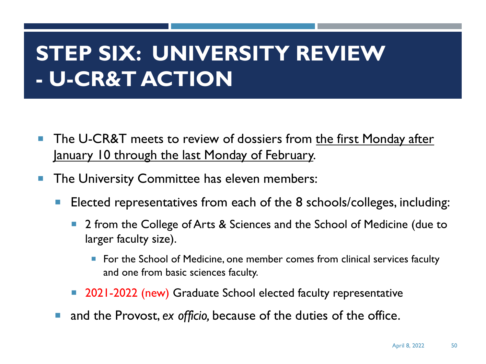### **STEP SIX: UNIVERSITY REVIEW - U-CR&T ACTION**

- **The U-CR&T meets to review of dossiers from the first Monday after** January 10 through the last Monday of February.
- The University Committee has eleven members:
	- Elected representatives from each of the 8 schools/colleges, including:
		- 2 from the College of Arts & Sciences and the School of Medicine (due to larger faculty size).
			- For the School of Medicine, one member comes from clinical services faculty and one from basic sciences faculty.
		- 2021-2022 (new) Graduate School elected faculty representative
	- and the Provost, *ex officio*, because of the duties of the office.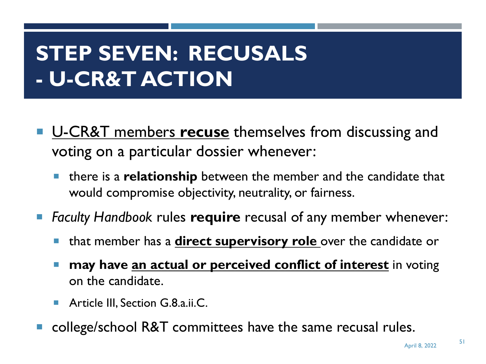### **STEP SEVEN: RECUSALS - U-CR&T ACTION**

- U-CR&T members **recuse** themselves from discussing and voting on a particular dossier whenever:
	- ¡ there is a **relationship** between the member and the candidate that would compromise objectivity, neutrality, or fairness.
- Faculty Handbook rules **require** recusal of any member whenever:
	- ¡ that member has a **direct supervisory role** over the candidate or
	- may have <u>an actual or perceived conflict of interest</u> in voting on the candidate.
	- **E** Article III, Section G.8.a.ii.C.
- college/school R&T committees have the same recusal rules.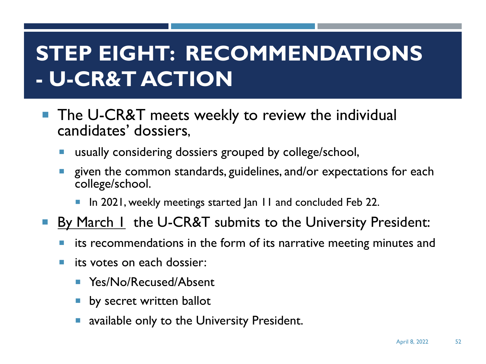### **STEP EIGHT: RECOMMENDATIONS - U-CR&T ACTION**

- The U-CR&T meets weekly to review the individual candidates' dossiers,
	- usually considering dossiers grouped by college/school,
	- given the common standards, guidelines, and/or expectations for each college/school.
		- In 2021, weekly meetings started Jan 11 and concluded Feb 22.
- **By March 1** the U-CR&T submits to the University President:
	- its recommendations in the form of its narrative meeting minutes and
	- **E** its votes on each dossier:
		- Yes/No/Recused/Absent
		- **•** by secret written ballot
		- available only to the University President.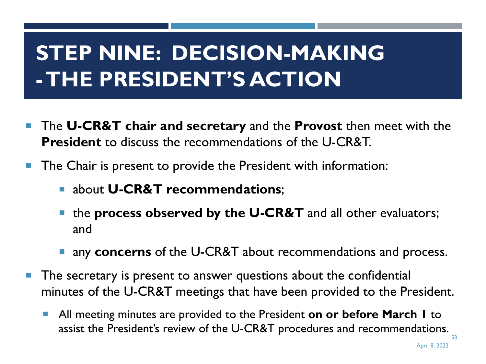## **STEP NINE: DECISION-MAKING -THE PRESIDENT'S ACTION**

- ¡ The **U-CR&T chair and secretary** and the **Provost** then meet with the **President** to discuss the recommendations of the U-CR&T.
- The Chair is present to provide the President with information:
	- ¡ about **U-CR&T recommendations**;
	- the **process observed by the U-CR&T** and all other evaluators; and
	- **u.** any **concerns** of the U-CR&T about recommendations and process.
- The secretary is present to answer questions about the confidential minutes of the U-CR&T meetings that have been provided to the President.
	- ¡ All meeting minutes are provided to the President **on or before March 1** to assist the President's review of the U-CR&T procedures and recommendations. 53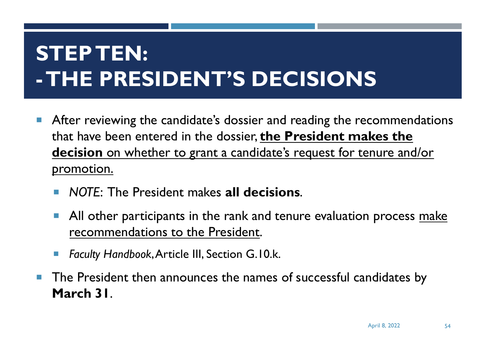## **STEP TEN: -THE PRESIDENT'S DECISIONS**

- **E** After reviewing the candidate's dossier and reading the recommendations that have been entered in the dossier, **the President makes the decision** on whether to grant a candidate's request for tenure and/or promotion.
	- ¡ *NOTE*: The President makes **all decisions**.
	- All other participants in the rank and tenure evaluation process make recommendations to the President.
	- *Faculty Handbook, Article III, Section G.10.k.*
- **The President then announces the names of successful candidates by March 31**.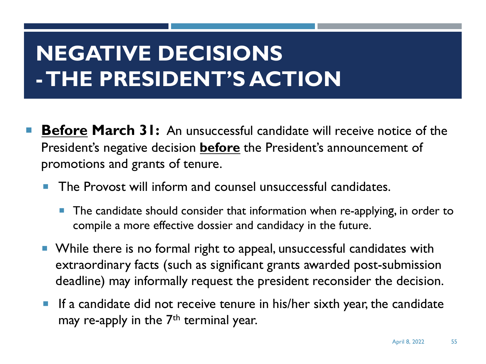### **NEGATIVE DECISIONS -THE PRESIDENT'S ACTION**

- **Before March 31:** An unsuccessful candidate will receive notice of the President's negative decision **before** the President's announcement of promotions and grants of tenure.
	- The Provost will inform and counsel unsuccessful candidates.
		- The candidate should consider that information when re-applying, in order to compile a more effective dossier and candidacy in the future.
	- While there is no formal right to appeal, unsuccessful candidates with extraordinary facts (such as significant grants awarded post-submission deadline) may informally request the president reconsider the decision.
	- **If a candidate did not receive tenure in his/her sixth year, the candidate** may re-apply in the  $7<sup>th</sup>$  terminal year.